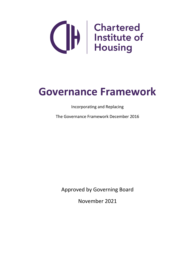

# **Governance Framework**

Incorporating and Replacing

The Governance Framework December 2016

Approved by Governing Board

November 2021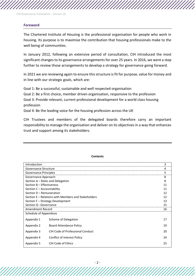#### **Foreword**

The Chartered Institute of Housing is the professional organisation for people who work in housing. Its purpose is to maximise the contribution that housing professionals make to the well being of communities.

In January 2012, following an extensive period of consultation, CIH introduced the most significant changes to its governance arrangements for over 25 years. In 2016, we went a step further to review those arrangements to develop a strategy for governance going forward.

In 2021 we are reviewing again to ensure this structure is fit for purpose, value for money and in line with our strategic goals, which are:

Goal 1: Be a successful, sustainable and well respected organisation

Goal 2: Be a first choice, member driven organisation, responsive to the profession Goal 3: Provide relevant, current professional development for a world class housing profession

Goal 4: Be the leading voice for the housing profession across the UK

CIH Trustees and members of the delegated boards therefore carry an important responsibility to manage the organisation and deliver on its objectives in a way that enhances trust and support among its stakeholders.

| Introduction                                        |                                  |    |  |  |
|-----------------------------------------------------|----------------------------------|----|--|--|
| Governance Structure                                |                                  |    |  |  |
| Governance Principles                               |                                  |    |  |  |
| Governance Approach:                                |                                  |    |  |  |
| Section A - Roles and Delegation                    |                                  |    |  |  |
| Section B - Effectiveness                           |                                  |    |  |  |
| Section C - Accountability                          |                                  |    |  |  |
| Section D - Remuneration                            |                                  |    |  |  |
| Section E – Relations with Members and Stakeholders |                                  | 12 |  |  |
| Section F – Strategy Development                    |                                  | 13 |  |  |
| Section G- Governance                               |                                  | 15 |  |  |
| Amendment Record                                    |                                  |    |  |  |
| Schedule of Appendices                              |                                  |    |  |  |
| Appendix 1                                          | Scheme of Delegation             | 17 |  |  |
| Appendix 2                                          | <b>Board Attendance Policy</b>   | 19 |  |  |
| Appendix 3                                          | CIH Code of Professional Conduct | 20 |  |  |
| Appendix 4                                          | Conflict of Interest Policy      | 24 |  |  |
| Appendix 5                                          | CIH Code of Ethics               | 25 |  |  |

#### **Contents**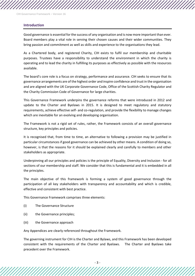#### **Introduction**

Good governance is essential for the success of any organisation and is now more important than ever. Board members play a vital role in serving their chosen causes and their wider communities. They bring passion and commitment as well as skills and experience to the organisations they lead.

As a Chartered body, and registered Charity, CIH exists to fulfil our membership and charitable purposes. Trustees have a responsibility to understand the environment in which the charity is operating and to lead the charity in fulfilling its purposes as effectively as possible with the resources available.

The board's core role is a focus on strategy, performance and assurance. CIH seeks to ensure that its governance arrangements are of the highest order and inspire confidence and trust in the organisation and are aligned with the UK Corporate Governance Code, Office of the Scottish Charity Regulator and the Charity Commission Code of Governance for large charities.

This Governance Framework underpins the governance reforms that were introduced in 2012 and update to the Charter and Byelaws in 2015. It is designed to meet regulatory and statutory requirements, achieve effective self- and co-regulation, and provide the flexibility to manage changes which are inevitable for an evolving and developing organisation.

The Framework is not a rigid set of rules, rather, the Framework consists of an overall governance structure, key principles and policies.

It is recognised that, from time to time, an alternative to following a provision may be justified in particular circumstances if good governance can be achieved by other means. A condition of doing so, however, is that the reasons for it should be explained clearly and carefully to members and other stakeholders as appropriate.

Underpinning all our principles and policies is the principle of Equality, Diversity and Inclusion - for all sections of our membership and staff. We consider that this is fundamental and it is embedded in all the principles.

The main objective of this framework is forming a system of good governance through the participation of all key stakeholders with transparency and accountability and which is credible, effective and consistent with best practice.

This Governance Framework comprises three elements:

- (i) The Governance Structure
- (ii) the Governance principles;
- (iii) the Governance approach

Any Appendices are clearly referenced throughout the Framework.

The governing instrument for CIH is the Charter and Bylaws, and this Framework has been developed consistent with the requirements of the Charter and Byelaws. The Charter and Byelaws take precedent over the Framework.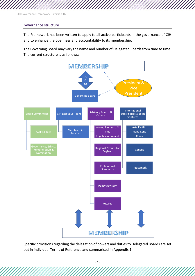#### **Governance structure**

The Framework has been written to apply to all active participants in the governance of CIH and to enhance the openness and accountability to its membership.

The Governing Board may vary the name and number of Delegated Boards from time to time. The current structure is as follows:



Specific provisions regarding the delegation of powers and duties to Delegated Boards are set out in individual Terms of Reference and summarised in Appendix 1.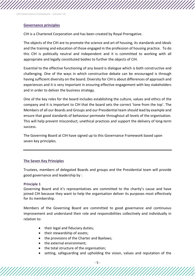#### **Governance principles**

CIH is a Chartered Corporation and has been created by Royal Prerogative.

The objects of the CIH are to promote the science and art of housing, its standards and ideals and the training and education of those engaged in the profession of housing practice.To do this CIH is politically neutral and independent and it is committed to working with all appropriate and legally constituted bodies to further the objects of CIH.

Essential to the effective functioning of any board is dialogue which is both constructive and challenging. One of the ways in which constructive debate can be encouraged is through having sufficient diversity on the board. Diversity for CIH is about differences of approach and experiences and it is very important in ensuring effective engagement with key stakeholders and in order to deliver the business strategy.

One of the key roles for the board includes establishing the culture, values and ethics of the company and it is important to CIH that the board sets the correct 'tone from the top'. The Members of all our Boards and Groups and our Presidential team should lead by example and ensure that good standards of behaviour permeate throughout all levels of the organisation. This will help prevent misconduct, unethical practices and support the delivery of long-term success.

The Governing Board at CIH have signed up to this Governance Framework based upon seven key principles.

#### **The Seven Key Principles**

Trustees, members of delegated Boards and groups and the Presidential team will provide good governance and leadership by :

#### **Principle 1**

Governing Board and it's representatives are committed to the charity's cause and have joined CIH because they want to help the organisation deliver its purposes most effectively for its membership.

Members of the Governing Board are committed to good governance and continuous improvement and understand their role and responsibilities collectively and individually in relation to:

- their legal and fiduciary duties:
- their stewardship of assets;
- the provisions of the Charter and Byelaws;
- the external environment:
- the total structure of the organisation;
- setting, safeguarding and upholding the vision, values and reputation of the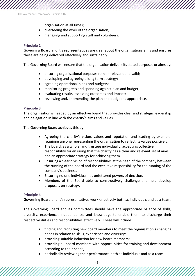organisation at all times;

- overseeing the work of the organisation;
- managing and supporting staff and volunteers.

### **Principle 2**

Governing Board and it's representatives are clear about the organisations aims and ensures these are being delivered effectively and sustainably.

The Governing Board will ensure that the organisation delivers its stated purposes or aims by:

- ensuring organisational purposes remain relevant and valid;
- developing and agreeing a long term strategy;
- agreeing operational plans and budgets;
- monitoring progress and spending against plan and budget;
- evaluating results, assessing outcomes and impact;
- reviewing and/or amending the plan and budget as appropriate.

### **Principle 3**

The organisation is headed by an effective board that provides clear and strategic leadership and delegation in line with the charity's aims and values.

The Governing Board achieves this by

- Agreeing the charity's vision, values and reputation and leading by example, requiring anyone representing the organisation to reflect its values positively.
- The board, as a whole, and trustees individually, accepting collective responsibility for ensuring that the charity has a clear and relevant set of aims and an appropriate strategy for achieving them.
- Ensuring a clear division of responsibilities at the head of the company between the running of the board and the executive responsibility for the running of the company's business.
- Ensuring no one individual has unfettered powers of decision.
- Members of the Board able to constructively challenge and help develop proposals on strategy.

### **Principle 4**

Governing Board and it's representatives work effectively both as individuals and as a team.

The Governing Board and its committees should have the appropriate balance of skills, diversity, experience, independence, and knowledge to enable them to discharge their respective duties and responsibilities effectively. These will include:

- finding and recruiting new board members to meet the organisation's changing needs in relation to skills, experience and diversity;
- providing suitable induction for new board members;
- providing all board members with opportunities for training and development according to their needs;
- periodically reviewing their performance both as individuals and as a team.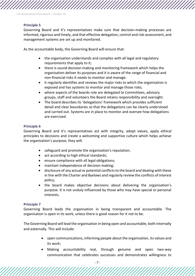# **Principle 5**

Governing Board and it's representatives make sure that decision-making processes are informed, rigorous and timely, and that effective delegation, control and risk-assessment, and management systems are set up and monitored.

As the accountable body, the Governing Board will ensure that:

- the organisation understands and complies with all legal and regulatory requirements that apply to it;
- there is sound decision-making and monitoring framework which helps the organisation deliver its purposes and it is aware of the range of financial and non-financial risks it needs to monitor and manage.
- it regularly identifies and reviews the major risks to which the organisation is exposed and has systems to monitor and manage those risks;
- where aspects of the boards role are delegated to Committees, advisory groups, staff and volunteers the Board retains responsibility and oversight.
- The board describes its 'delegations' framework which provides sufficient detail and clear boundaries so that the delegations can be clearly understood and carried out. Systems are in place to monitor and oversee how delegations are exercised.

## **Principle 6**

Governing Board and it's representatives act with integrity, adopt values, apply ethical principles to decisions and create a welcoming and supportive culture which helps achieve the organisation's purpose, they will:

- safeguard and promote the organisation's reputation;
- act according to high ethical standards;
- ensure compliance with all legal obligations;
- maintain independence of decision making;
- disclosure of any actual or potential conflicts to the board and dealing with these in line with the Charter and Byelaws and regularly review the conflicts of interest policy;
- the board makes objective decisions about delivering the organisation's purpose. It is not unduly influenced by those who may have special or personal interests.

### **Principle 7**

Governing Board leads the organisation in being transparent and accountable. The organisation is open in its work, unless there is good reason for it not to be.

The Governing Board will lead the organisation in being open and accountable, both internally and externally. This will include:

- open communications, informing people about the organisation, its values and its work;
- Making accountability real, through genuine and open two-way communication that celebrates successes and demonstrates willingness to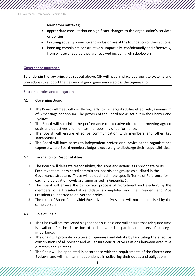learn from mistakes;

- appropriate consultation on significant changes to the organisation's services or policies;
- Ensuring equality, diversity and inclusion are at the foundation of their actions;
- handling complaints constructively, impartially, confidentially and effectively, from whatever source they are received including whistleblowers.

### **Governance approach**

To underpin the key principles set out above, CIH will have in place appropriate systems and procedures to support the delivery of good governance across the organisation.

### **Section a: roles and delegation**

### A1 Governing Board

- 1. The Board will meet sufficiently regularly to discharge its duties effectively, a minimum of 6 meetings per annum. The powers of the Board are as set out in the Charter and Byelaws.
- 2. The Board will scrutinise the performance of executive directors in meeting agreed goals and objectives and monitor the reporting of performance.
- 3. The Board will ensure effective communication with members and other key stakeholders.
- 4. The Board will have access to independent professional advice at the organisations expense where Board members judge it necessary to discharge their responsibilities.

## A2 Delegation of Responsibilities

- 1. The Board will delegate responsibility, decisions and actions as appropriate to its Executive team, nominated committees, boards and groups as outlined in the Governance structure. These will be outlined in the specific Terms of Reference for each and delegation levels are summarised in Appendix 1.
- 2. The Board will ensure the democratic process of recruitment and election, by the members, of a Presidential candidate is completed and the President and Vice Presidents supported to deliver their roles.
- 3. The roles of Board Chair, Chief Executive and President will not be exercised by the same person.

# A3 Role of Chair

- 1. The Chair will set the Board's agenda for business and will ensure that adequate time is available for the discussion of all items, and in particular matters of strategic importance.
- 2. The Chair will promote a culture of openness and debate by facilitating the effective contributions of all present and will ensure constructive relations between executive directors and Trustees.
- 3. The Chair will be appointed in accordance with the requirements of the Charter and Byelaws. and will maintain independence in delivering their duties and obligations.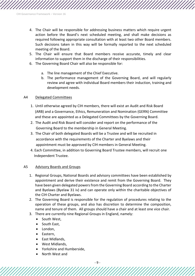- 4. The Chair will be responsible for addressing business matters which require urgent action before the Board's next scheduled meeting, and shall make decisions as required following appropriate consultation with at least two other Board members. Such decisions taken in this way will be formally reported to the next scheduled meeting of the Board.
- 5. The Chair will ensure that Board members receive accurate, timely and clear information to support them in the discharge of their responsibilities.
- 6. The Governing Board Chair will also be responsible for:
	- a. The line management of the Chief Executive.
	- b. The performance management of the Governing Board, and will regularly review and agree with individual Board members their induction, training and development needs.

#### A4 Delegated Committees

- 1. Until otherwise agreed by CIH members, there will exist an Audit and Risk Board (ARB) and a Governance, Ethics, Remuneration and Nomination (GERN) Committee and these are appointed as a Delegated Committees by the Governing Board.
- 2. The Audit and Risk Board will consider and report on the performance of the Governing Board to the membership in General Meeting.
- 3. The Chair of both delegated Boards will be a Trustee and will be recruited in accordance with the requirements of the Charter and Byelaws and their appointment must be approved by CIH members in General Meeting.
- 4. Each Committee, in addition to Governing Board Trustee members, will recruit one Independent Trustee.

#### A5 Advisory Boards and Groups

- 1. Regional Groups, National Boards and advisory committees have been established by appointment and derive their existence and remit from the Governing Board. They have been given delegated powers from the Governing Board according to the Charter and Byelaws (Byelaw 31 iv) and can operate only within the charitable objectives of the CIH Charter and Byelaws.
- 2. The Governing Board is responsible for the regulation of procedures relating to the operation of these groups, and also has discretion to determine the composition, name and tenure of them. All groups should have a chair and at least one vice chair.
- 3. There are currently nine Regional Groups in England, namely:
	- South West,
	- South East,
	- London,
	- Eastern,
	- East Midlands,
	- West Midlands,
	- Yorkshire and Humberside,
	- North West and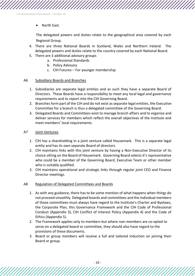• North East.

The delegated powers and duties relate to the geographical area covered by each Regional Group.

- 4. There are three National Boards in Scotland, Wales and Northern Ireland. The delegated powers and duties relate to the country covered by each National Board.
- 5. There are 3 additional advisory groups
	- a. Professional Standards
	- b. Policy Advisory
	- c. CIH Futures For younger membership

## A6 Subsidiary Boards and Branches

- 1. Subsidiaries are separate legal entities and as such they have a separate Board of Directors. These Boards have a responsibility to meet any local legal and governance requirements and to report into the CIH Governing Board.
- 2. Branches form part of the CIH and do not exist as separate legal entities, the Executive Committee for a branch is thus a delegated committee of the Governing Board.
- 3. Delegated Boards and Committees exist to manage branch affairs and to organise and deliver services for members which reflect the overall objectives of the Institute and meet members' local requirements.

## A7 Joint Ventures

- 1. CIH has a shareholding in a joint venture called Housemark. This is a separate legal entity and has its own separate Board of directors.
- 2. CIH maintains links with this joint venture by having a Non-Executive Director of its choice sitting on the Board of Housemark. Governing Board selects it's representative who could be a member of the Governing Board, Executive Team or other member who is suitably qualified.
- 3. CIH maintains operational and strategic links through regular joint CEO and Finance Director meetings.

# A8 Regulation of Delegated Committees and Boards

- 1. As with any guidance, there has to be some mention of what happens when things do not proceed smoothly. Delegated boards and committees and the individual members of those committees must always have regard to the Institute's Charter and Byelaws, the Corporate Plan, this Governance Framework and the CIH Code of Professional Conduct (Appendix 3), CIH Conflict of Interest Policy (Appendix 4) and the Code of Ethics (Appendix 5).
- 2. The Framework applies only to members but where non-members are co-opted to serve on a delegated board or committee, they should also have regard to the provisions of these documents.
- 3. Board or group members will receive a full and tailored induction on joining their Board or group.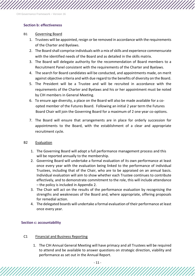# **Section b: effectiveness**

### B1 Governing Board

- 1. Trustees will be appointed, resign or be removed in accordance with the requirements of the Charter and Byelaws.
- 2. The Board shall comprise individuals with a mix of skills and experience commensurate with the identified needs of the Board and as detailed in the skills matrix.
- 3. The Board will delegate authority for the recommendation of Board members to a Recruitment Panel consistent with the requirements of the Charter and Byelaws.
- 4. The search for Board candidates will be conducted, and appointments made, on merit against objective criteria and with due regard to the benefits of diversity on the Board.
- 5. The President will be a Trustee and will be recruited in accordance with the requirements of the Charter and Byelaws and his or her appointment must be noted by CIH members in General Meeting.
- 6. To ensure age diversity, a place on the Board will also be made available for a co opted member of the Futures Board. Following an initial 2 year term the Futures Board Chair will join the Governing Board for a maximum of 2 one year co-options.
- 7. The Board will ensure that arrangements are in place for orderly succession for appointments to the Board, with the establishment of a clear and appropriate recruitment cycle.

### B2 Evaluation

- 1. The Governing Board will adopt a full performance management process and this will be reported annually to the membership.
- 2. Governing Board will undertake a formal evaluation of its own performance at least once every year with the evaluation being linked to the performance of individual Trustees, including that of the Chair, who are to be appraised on an annual basis. Individual evaluation will aim to show whether each Trustee continues to contribute effectively, and to demonstrate commitment to the role, this will include attendance – the policy is included in Appendix 2.
- 3. The Chair will act on the results of the performance evaluation by recognising the strengths and weaknesses of the Board and, where appropriate, offering proposals for remedial action.
- 4. The delegated boards will undertake a formal evaluation of their performance at least once every year.

# **Section c: accountability**

# C1 Financial and Business Reporting

1. The CIH Annual General Meeting will have primacy and all Trustees will be required to attend and be available to answer questions on strategic direction, viability and performance as set out in the Annual Report.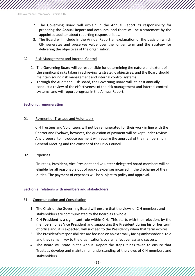- 2. The Governing Board will explain in the Annual Report its responsibility for preparing the Annual Report and accounts, and there will be a statement by the appointed auditor about reporting responsibilities.
- 3. The Board will include in the Annual Report an explanation of the basis on which CIH generates and preserves value over the longer term and the strategy for delivering the objectives of the organisation.

#### C2 Risk Management and Internal Control

- 1. The Governing Board will be responsible for determining the nature and extent of the significant risks taken in achieving its strategic objectives, and the Board should maintain sound risk management and internal control systems.
- 2. Through the Audit and Risk Board, the Governing Board will, at least annually, conduct a review of the effectiveness of the risk management and internal control systems, and will report progress in the Annual Report.

#### **Section d: remuneration**

#### D1 Payment of Trustees and Volunteers

CIH Trustees and Volunteers will not be remunerated for their work in line with the Charter and Byelaws, however, the question of payment will be kept under review. Any proposal to introduce payment will require the approval of the membership in General Meeting and the consent of the Privy Council.

#### D2 Expenses

Trustees, President, Vice President and volunteer delegated board members will be eligible for all reasonable out of pocket expenses incurred in the discharge of their duties. The payment of expenses will be subject to policy and approval.

### **Section e: relations with members and stakeholders**

#### E1 Communication and Consultation

- 1. The Chair of the Governing Board will ensure that the views of CIH members and stakeholders are communicated to the Board as a whole.
- 2. CIH President is a significant role within CIH. This starts with their election, by the membership, as Vice President and supporting the President during his or her term of office and, it is expected, will succeed to the Presidency when that term expires.
- 3. The President's responsibilities are focused on an externally facing ambassadorial role and they remain key to the organisation's overall effectiveness and success.
- 4. The Board will state in the Annual Report the steps it has taken to ensure that Trustees develop and maintain an understanding of the views of CIH members and stakeholders.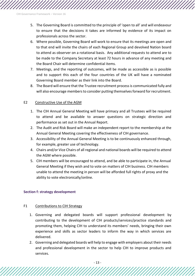- 5. The Governing Board is committed to the principle of 'open to all' and will endeavour to ensure that the decisions it takes are informed by evidence of its impact on professionals across the sector.
- 6. Where possible, Governing Board will work to ensure that its meetings are open and to that end will invite the chairs of each Regional Group and devolved Nation board to attend as observer on a rotational basis. Any additional requests to attend are to be made to the Company Secretary at least 72 hours in advance of any meeting and the Board Chair will determine confidential items.
- 7. Meetings, and the reporting of outcomes, will be made as accessible as is possible and to support this each of the four countries of the UK will have a nominated Governing Board member as their link into the Board.
- 8. The Board will ensure that the Trustee recruitment process is communicated fully and will also encourage members to consider putting themselves forward for recruitment.

## E2 Constructive Use of the AGM

- 1. The CIH Annual General Meeting will have primacy and all Trustees will be required to attend and be available to answer questions on strategic direction and performance as set out in the Annual Report.
- 2. The Audit and Risk Board will make an independent report to the membership at the Annual General Meeting covering the effectiveness of CIH governance.
- 3. Accessibility of the Annual General Meeting is to be continuously enhanced through, for example, greater use of technology.
- 4. Chairs and/or Vice Chairs of all regional and national boards will be required to attend the AGM where possible.
- 5. CIH members will be encouraged to attend, and be able to participate in, the Annual General Meeting if they wish and to vote on matters of CIH business. CIH members unable to attend the meeting in person will be afforded full rights of proxy and the ability to vote electronically/online.

# **Section f: strategy development**

### F1 Contributions to CIH Strategy

- 1. Governing and delegated boards will support professional development by contributing to the development of CIH products/services/practice standards and promoting them, helping CIH to understand its members' needs, bringing their own experience and skills as sector leaders to inform the way in which services are delivered.
- 2. Governing and delegated boards will help to engage with employers about their needs and professional development in the sector to help CIH to improve products and services.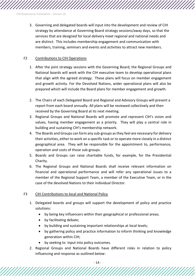3. Governing and delegated boards will input into the development and review of CIH strategy by attendance at Governing Board strategy sessions/away days, so that the services that are designed for local delivery meet regional and national needs and are distinct. This includes membership engagement and communication with members, training, seminars and events and activities to attract new members.

# F2 Contributions to CIH Operations

- 1. After the joint strategy sessions with the Governing Board, the Regional Groups and National boards will work with the CIH executive team to develop operational plans that align with the agreed strategy. These plans will focus on member engagement and growth activity. For the Devolved Nations, wider operational plans will also be prepared which will include the Board plans for member engagement and growth.
- 2. The Chairs of each Delegated Board and Regional and Advisory Groups will present a report from each board annually. All plans will be reviewed collectively and then received by the Governing Board at its next meeting.
- 3. Regional Groups and National Boards will promote and represent CIH's vision and values, having member engagement as a priority. They will play a central role in building and sustaining CIH's membership network.
- 4. The Boards and Groups can form any sub-groups as they feel are necessary for delivery their activities, either to work on a specific task or to operate more closely in a distinct geographical area. They will be responsible for the appointment to, performance, operation and costs of those sub-groups.
- 5. Boards and Groups can raise charitable funds, for example, for the Presidential Charity.
- 6. The Regional Groups and National Boards shall receive relevant information on financial and operational performance and will refer any operational issues to a member of the Regional Support Team, a member of the Executive Team, or in the case of the devolved Nations to their individual Director.

# F3 CIH Contributions to local and National Policy

- 1. Delegated boards and groups will support the development of policy and practice solutions:
	- by being key influencers within their geographical or professional areas;
	- by facilitating debate;
	- by building and sustaining important relationships at local levels;
	- by gathering policy and practice information to inform thinking and knowledge generation within CIH;
	- by seeking to input into policy outcomes.
- 2. Regional Groups and National Boards have different roles in relation to policy influencing and response as outlined below: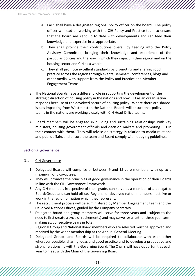- a. Each shall have a designated regional policy officer on the board. The policy officer will lead on working with the CIH Policy and Practice team to ensure that the board are kept up to date with developments and can feed their knowledge and expertise in as appropriate.
- b. They shall provide their contributions overall by feeding into the Policy Advisory Committee, bringing their knowledge and experience of the particular policies and the way in which they impact in their region and on the housing sector and CIH as a whole.
- c. They shall promote excellent standards by promoting and sharing good practice across the region through events, seminars, conferences, blogs and other media, with support from the Policy and Practice and Member Engagement Teams.
- 3. The National Boards have a different role in supporting the development of the strategic direction of housing policy in the nations and how CIH as an organisation responds because of the devolved nature of housing policy. Where there are shared issues impacting from Westminster, the National Boards will ensure that policy teams in the nations are working closely with CIH Head Office teams.
- 4. Board members will be engaged in building and sustaining relationships with key ministers, housing government officials and decision makers and promoting CIH in their contact with them. They will advise on strategy in relation to media relations and public affairs and ensure the team and Board comply with lobbying guidelines.

### **Section g: governance**

### G1. CIH Governance

- 1. Delegated Boards will comprise of between 9 and 15 core members, with up to a maximum of 5 co-optees.
- 2. They will promote the principles of good governance in the operation of their Boards in line with the CIH Governance Framework.
- 3. Any CIH member, irrespective of their grade, can serve as a member of a delegated Board/Group and can hold office. Regional or devolved nation members must live or work in the region or nation which they represent.
- 4. The recruitment process will be administered by Member Engagement Team and the Devolved Nations Offices, guided by the Company Secretary.
- 5. Delegated board and group members will serve for three years and (subject to the need to first create a cycle of retirements) and may serve for a further three year term, making six consecutive years in total.
- 6. Regional Group and National Board members who are selected must be approved and received by the wider membership at the Annual General Meeting.
- 7. Delegated Groups and Boards will be required to collaborate with each other wherever possible, sharing ideas and good practice and to develop a productive and strong relationship with the Governing Board. The Chairs will have opportunities each year to meet with the Chair of the Governing Board.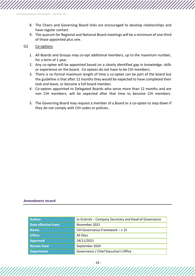- 8. The Chairs and Governing Board links are encouraged to develop relationships and have regular contact.
- 9. The quorum for Regional and National Board meetings will be a minimum of one third of those appointed plus one.

#### G2 Co-options

- 1. All Boards and Groups may co-opt additional members, up to the maximum number, for a term of 1 year.
- 2. Any co-optee will be appointed based on a clearly identified gap in knowledge, skills or experience on the board. Co-optees do not have to be CIH members.
- 3. There is no formal maximum length of time a co-optee can be part of the board but the guideline is that after 12 months they would be expected to have completed their task and leave, or become a full board member.
- 4. Co-optees appointed to Delegated Boards who serve more than 12 months and are non CIH members, will be expected after that time to become CIH members.
- 5. The Governing Board may request a member of a Board or a co-optee to step down if they do not comply with CIH codes or policies.

#### **Amendment record**

| Author:                     | Jo Gratrick - Company Secretary and Head of Governance |
|-----------------------------|--------------------------------------------------------|
| <b>Date effective from:</b> | November 2021                                          |
| Name:                       | CIH Governance Framework - v 15                        |
| Office:                     | All Sites                                              |
| <b>Approved</b>             | 24/11/2021                                             |
| <b>Review Date</b>          | September 2024                                         |
| <b>Department</b>           | Governance / Chief Executive's Office                  |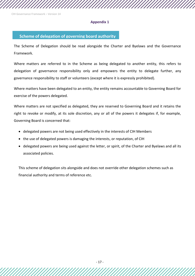#### **Appendix 1**

# **Scheme of delegation of governing board authority**

The Scheme of Delegation should be read alongside the Charter and Byelaws and the Governance Framework.

Where matters are referred to in the Scheme as being delegated to another entity, this refers to delegation of governance responsibility only and empowers the entity to delegate further, any governance responsibility to staff or volunteers (except where it is expressly prohibited).

Where matters have been delegated to an entity, the entity remains accountable to Governing Board for exercise of the powers delegated.

Where matters are not specified as delegated, they are reserved to Governing Board and it retains the right to revoke or modify, at its sole discretion, any or all of the powers it delegates if, for example, Governing Board is concerned that:

- delegated powers are not being used effectively in the interests of CIH Members
- the use of delegated powers is damaging the interests, or reputation, of CIH
- delegated powers are being used against the letter, or spirit, of the Charter and Byelaws and all its associated policies.

This scheme of delegation sits alongside and does not override other delegation schemes such as financial authority and terms of reference etc.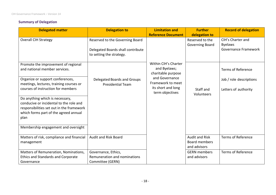# **Summary of Delegation**

| <b>Delegated matter</b>                                                                                                                                                                                                                                                                                                                                                                                      | <b>Delegation to</b>                                                                             | <b>Limitation and</b><br><b>Reference Document</b>                                                                                         | <b>Further</b><br>delegation to                        | <b>Record of delegation</b>                                                  |
|--------------------------------------------------------------------------------------------------------------------------------------------------------------------------------------------------------------------------------------------------------------------------------------------------------------------------------------------------------------------------------------------------------------|--------------------------------------------------------------------------------------------------|--------------------------------------------------------------------------------------------------------------------------------------------|--------------------------------------------------------|------------------------------------------------------------------------------|
| <b>Overall CIH Strategy</b>                                                                                                                                                                                                                                                                                                                                                                                  | Reserved to the Governing Board<br>Delegated Boards shall contribute<br>to setting the strategy. |                                                                                                                                            | Reserved to the<br><b>Governing Board</b>              | CIH's Charter and<br><b>Byelaws</b><br>Governance Framework                  |
| Promote the improvement of regional<br>and national member services.<br>Organize or support conferences,<br>meetings, lectures, training courses or<br>courses of instruction for members<br>Do anything which is necessary,<br>conducive or incidental to the role and<br>responsibilities set out in the framework<br>which forms part of the agreed annual<br>plan<br>Membership engagement and oversight | Delegated Boards and Groups<br><b>Presidential Team</b>                                          | Within CIH's Charter<br>and Byelaws;<br>charitable purpose<br>and Governance<br>Framework to meet<br>its short and long<br>term objectives | Staff and<br>Volunteers                                | <b>Terms of Reference</b><br>Job / role descriptions<br>Letters of authority |
| Matters of risk, compliance and financial<br>management                                                                                                                                                                                                                                                                                                                                                      | Audit and Risk Board                                                                             |                                                                                                                                            | <b>Audit and Risk</b><br>Board members<br>and advisors | <b>Terms of Reference</b>                                                    |
| Matters of Remuneration, Nominations,<br><b>Ethics and Standards and Corporate</b><br>Governance                                                                                                                                                                                                                                                                                                             | Governance, Ethics,<br>Remuneration and nominations<br>Committee (GERN)                          |                                                                                                                                            | <b>GERN</b> members<br>and advisors                    | <b>Terms of Reference</b>                                                    |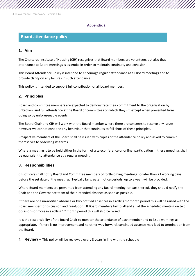#### **Appendix 2**

# **Board attendance policy**

# **1. Aim**

The Chartered Institute of Housing (CIH) recognises that Board members are volunteers but also that attendance at Board meetings is essential in order to maintain continuity and cohesion.

This Board Attendance Policy is intended to encourage regular attendance at all Board meetings and to provide clarity on any failures in such attendance.

This policy is intended to support full contribution of all board members

# **2. Principles**

Board and committee members are expected to demonstrate their commitment to the organisation by unbroken and full attendance at the Board or committees on which they sit, except when prevented from doing so by unforeseeable events.

The Board Chair and CIH will work with the Board member where there are concerns to resolve any issues, however we cannot condone any behaviour that continues to fall short of these principles.

Prospective members of the Board shall be issued with copies of the attendance policy and asked to commit themselves to observing its terms.

Where a meeting is to be held either in the form of a teleconference or online, participation in these meetings shall be equivalent to attendance at a regular meeting.

# **3. Responsibilities**

CIH officers shall notify Board and Committee members of forthcoming meetings no later than 21 working days before the set date of the meeting. Typically far greater notice periods, up to a year, will be provided.

Where Board members are prevented from attending any Board meeting, or part thereof, they should notify the Chair and the Governance team of their intended absence as soon as possible.

If there are one un-notified absence or two notified absences in a rolling 12 month period this will be raised with the Board member for discussion and resolution. If Board members fail to attend all of the scheduled meeting on two occasions or more in a rolling 12 month period this will also be raised.

It is the responsibility of the Board Chair to monitor the attendance of each member and to issue warnings as appropriate. If there is no improvement and no other way forward, continued absence may lead to termination from the Board.

4. **Review –** This policy will be reviewed every 3 years in line with the schedule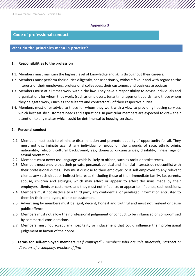#### **Appendix 3**

# **Code of professional conduct**

# **What do the principles mean in practice?**

### **1. Responsibilities to the profession**

- 1.1. Members must maintain the highest level of knowledge and skills throughout their careers.
- 1.2. Members must perform their duties diligently, conscientiously, without favour and with regard to the interests of their employers, professional colleagues, their customers and business associates.
- 1.3. Members must at all times work within the law. They have a responsibility to advise individuals and organisations for whom they work, (such as employers, tenant management boards), and those whom they delegate work, (such as consultants and contractors), of their respective duties.
- 1.4. Members must offer advice to those for whom they work with a view to providing housing services which best satisfy customers needs and aspirations. In particular members are expected to draw their attention to any matter which could be detrimental to housing services.

## **2. Personal conduct**

- 2.1 Members must seek to eliminate discrimination and promote equality of opportunity for all. They must not discriminate against any individual or group on the grounds of race, ethnic origin, nationality, religion, cultural background, sex, domestic circumstances, disability, illness, age or sexual orientation.
- 2.2 Members must never use language which is likely to offend, such as racist or sexist terms.
- 2.3 Members must ensure that their private, personal, political and financial interests do not conflict with their professional duties. They must disclose to their employer, or if self employed to any relevant clients, any such direct or indirect interests, (including those of their immediate family, i.e. parents, spouse, children and siblings), which may affect or appear to affect decisions made by their employers, clients or customers, and they must not influence, or appear to influence, such decisions.
- 2.4 Members must not disclose to a third party any confidential or privileged information entrusted to them by their employers, clients or customers.
- 2.5 Advertising by members must be legal, decent, honest and truthful and must not mislead or cause public offence.
- 2.6 Members must not allow their professional judgement or conduct to be influenced or compromised by commercial considerations.
- 2.7 Members must not accept any hospitality or inducement that could influence their professional judgement in favour of the donor.
- **3. Terms for self-employed members** *'self employed' - members who are sole principals, partners or directors of a company, practice of firm*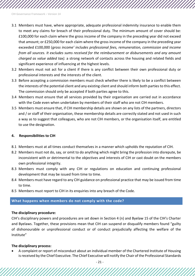- 3.1 Members must have, where appropriate, adequate professional indemnity insurance to enable them to meet any claims for breach of their professional duty. The minimum amount of cover should be: £100,000 for each claim where the gross income of the company in the preceding year did not exceed that amount; or £250,000 for each claim where the gross income of the company in the preceding year exceeded £100,000 (*gross income' includes professional fees, remuneration, commission and income from all sources. It excludes sums received for the reimbursement or disbursements and any amount charged as value added tax).* a strong network of contacts across the housing and related fields and significant experience of influencing at the highest levels.
- 3.2 Members must not act for a client if there is any conflict between their own professional duty or professional interests and the interests of the client.
- 3.3 Before accepting a commission members must check whether there is likely to be a conflict between the interests of the potential client and any existing client and should inform both parties to this effect. The commission should only be accepted if both parties agree to this.
- 3.4 Members must ensure that all services provided by their organisation are carried out in accordance with the Code even when undertaken by members of their staff who are not CIH members.
- 3.5 Members must ensure that, if CIH membership details are shown on any lists of the partners, directors and / or staff of their organisation, these membership details are correctly stated and not used in such a way as to suggest that colleagues, who are not CIH members, or the organisation itself, are entitled to use the designation.

### **4. Responsibilities to CIH**

- 8.1 Members must at all times conduct themselves in a manner which upholds the reputation of CIH.
- 8.2 Members must not do, say, or omit to do anything which might bring the profession into disrepute, be inconsistent with or detrimental to the objectives and interests of CIH or cast doubt on the members own professional integrity.
- 8.3 Members must comply with any CIH or regulations on education and continuing professional development that may be issued from time to time.
- 8.4 Members must have regard to any CIH guidance on professional practice that may be issued from time to time.
- 8.5 Members must report to CIH in its enquiries into any breach of the Code.

### **What happens when members do not comply with the code?**

### **The disciplinary procedure:**

CIH's disciplinary powers and procedures are set down in Section 4 (n) and Byelaw 15 of the CIH's Charter and Byelaws. Together, these provisions mean that CIH can suspend or disqualify members found "guilty of dishonourable or unprofessional conduct or of conduct prejudicially affecting the welfare of the Institute"

### **The disciplinary process:**

• A complaint or report of misconduct about an individual member of the Chartered Institute of Housing is received by the Chief Executive. The Chief Executive will notify the Chair of the Professional Standards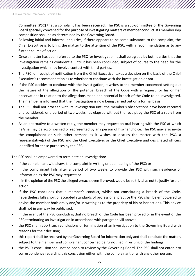Committee (PSC) that a complaint has been received. The PSC is a sub-committee of the Governing Board specially convened for the purpose of investigating matters of member conduct. Its membership composition shall be as determined by the Governing Board.

- Following initial and informal enquiries, if there appears to be some substance to the complaint, the Chief Executive is to bring the matter to the attention of the PSC, with a recommendation as to any further course of action.
- Once a matter has been referred to the PSC for investigation it shall be agreed by both parties that the investigation remains confidential until it has been concluded, subject of course to the need for the investigation which may involve contact with third parties.
- The PSC, on receipt of notification from the Chief Executive, takes a decision on the basis of the Chief Executive's recommendation as to whether to continue with the investigation or not
- If the PSC decides to continue with the investigation, it writes to the member concerned setting out the nature of the allegation or the potential breach of the Code with a request for his or her observations in relation to the allegations made and potential breach of the Code to be investigated. The member is informed that the investigation is now being carried out on a formal basis.
- The PSC shall not proceed with its investigation until the member's observations have been received and considered, or a period of two weeks has elapsed without the receipt by the PSC of a reply from the member.
- As an alternative to a written reply, the member may request an oral hearing with the PSC at which he/she may be accompanied or represented by any person of his/her choice. The PSC may also invite the complainant or such other persons as it wishes to discuss the matter with the PSC, a representative(s) of the PSC and the Chief Executive, or the Chief Executive and designated officers identified for these purposes by the PSC.

The PSC shall be empowered to terminate an investigation:

- if the complainant withdraws the complaint in writing or at a hearing of the PSC; or
- if the complainant fails after a period of two weeks to provide the PSC with such evidence or information as the PSC may request; or
- if in the opinion of the PSC the alleged breach, even if proved, would be so trivial as not to justify further action.
- If the PSC concludes that a member's conduct, whilst not constituting a breach of the Code, nevertheless falls short of accepted standards of professional practice the PSC shall be empowered to advise the member both orally and/or in writing as to the propriety of his or her actions. This advice shall not in any way be publicised.
- In the event of the PSC concluding that no breach of the Code has been proved or in the event of the PSC terminating an investigation in accordance with paragraph viii above:
- the PSC shall report such conclusions or termination of an investigation to the Governing Board with reasons for their decision;
- this report shall be received by the Governing Board for information only and shall conclude the matter, subject to the member and complainant concerned being notified in writing of the findings;
- the PSC's conclusion shall not be open to review by the Governing Board. The PSC shall not enter into correspondence regarding this conclusion either with the complainant or with any other person.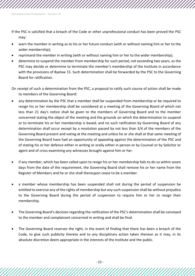If the PSC is satisfied that a breach of the Code or other unprofessional conduct has been proved the PSC may:

- warn the member in writing as to his or her future conduct (with or without naming him or her to the wider membership);
- reprimand the member in writing (with or without naming him or her to the wider membership);
- determine to suspend the member from membership for such period, not exceeding two years, as the PSC may decide or determine to terminate the member's membership of the Institute in accordance with the provisions of Byelaw 15. Such determination shall be forwarded by the PSC to the Governing Board for ratification.

On receipt of such a determination from the PSC, a proposal to ratify such course of action shall be made to members of the Governing Board:

- any determination by the PSC that a member shall be suspended from membership or be required to resign his or her membership shall be considered at a meeting of the Governing Board of which not less than 21 day's notice shall be given to the members of Governing Board and to the member concerned stating the object of the meeting and the grounds on which the determination to suspend or to terminate his or her membership is based; and no such ratification by Governing Board of any determination shall occur except by a resolution passed by not less than 3/4 of the members of the Governing Board present and voting at the meeting and unless he or she shall at that same meeting of the Governing Board have had an opportunity of appealing against the determination of the PSC and of stating his or her defence either in writing or orally either in person or by Counsel or by Solicitor or agent and of cross examining any witnesses brought against him or her.
- if any member, which has been called upon to resign his or her membership fails to do so within seven days from the date of the requirement, the Governing Board shall remove his or her name from the Register of Members and he or she shall thereupon cease to be a member.
- a member whose membership has been suspended shall not during the period of suspension be entitled to exercise any of the rights of membership but any such suspension shall be without prejudice to the Governing Board during the period of suspension to require him or her to resign their membership.
- The Governing Board's decision regarding the ratification of the PSC's determination shall be conveyed to the member and complainant concerned in writing and shall be final.
- The Governing Board reserves the right, in the event of finding that there has been a breach of the Code, to give such publicity thereto and to any disciplinary action taken thereon as it may, in its absolute discretion deem appropriate in the interests of the Institute and the public.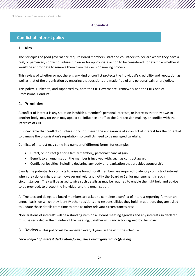#### **Appendix 4**

# **Conflict of interest policy**

# **1. Aim**

The principles of good governance require Board members, staff and volunteers to declare where they have a real, or perceived, conflict of interest in order for appropriate action to be considered, for example whether it would be appropriate to remove them from the decision making process.

This review of whether or not there is any kind of conflict protects the individual's credibility and reputation as well as that of the organisation by ensuring that decisions are made free of any personal gain or prejudice.

This policy is linked to, and supported by, both the CIH Governance Framework and the CIH Code of Professional Conduct.

# **2. Principles**

A conflict of interest is any situation in which a member's personal interests, or interests that they owe to another body, may (or even may appear to) influence or affect the CIH decision making, or conflict with the interests of CIH.

It is inevitable that conflicts of interest occur but even the appearance of a conflict of interest has the potential to damage the organisation's reputation, so conflicts need to be managed carefully.

Conflicts of interest may come in a number of different forms, for example:

- Direct, or indirect (i.e for a family member), personal financial gain
- Benefit to an organisation the member is involved with, such as contract award
- Conflict of loyalties, including declaring any body or organisation that provides sponsorship

Clearly the potential for conflicts to arise is broad, so all members are required to identify conflicts of interest when they do, or might arise, however unlikely, and notify the Board or Senior management in such circumstances. They will be asked to give such details as may be required to enable the right help and advice to be provided, to protect the individual and the organisation.

All Trustees and delegated board members are asked to complete a conflict of interest reporting form on an annual basis, on which they identify other positions and responsibilities they hold. In addition, they are asked to update those details from time to time as other relevant circumstances arise.

"Declarations of interest" will be a standing item on all Board meeting agendas and any interests so declared must be recorded in the minutes of the meeting, together with any action agreed by the Board.

3. **Review –** This policy will be reviewed every 3 years in line with the schedule

### *For a conflict of interest declaration form please email governance@cih.org*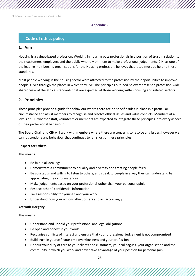#### **Appendix 5**

# **Code of ethics policy**

# **1. Aim**

Housing is a values-based profession. Working in housing puts professionals in a position of trust in relation to their customers, employers and the public who rely on them to make professional judgements. CIH, as one of the leading membership organisations for the Housing profession, believes that it too must be held to these standards.

Most people working in the housing sector were attracted to the profession by the opportunities to improve people's lives through the places in which they live. The principles outlined below represent a profession-wide shared view of the ethical standards that are expected of those working within housing and related sectors.

# **2. Principles**

These principles provide a guide for behaviour where there are no specific rules in place in a particular circumstance and assist members to recognise and resolve ethical issues and value conflicts. Members at all levels of CIH whether staff, volunteers or members are expected to integrate these principles into every aspect of their professional behaviour.

The Board Chair and CIH will work with members where there are concerns to resolve any issues, however we cannot condone any behaviour that continues to fall short of these principles.

#### **Respect for Others**

This means:

- Be fair in all dealings
- Demonstrate a commitment to equality and diversity and treating people fairly
- Be courteous and willing to listen to others, and speak to people in a way they can understand by appreciating their circumstances
- Make judgements based on your professional rather than your personal opinion
- Respect others' confidential information
- Take responsibility for yourself and your work
- Understand how your actions affect others and act accordingly

#### **Act with Integrity**

This means:

- Understand and uphold your professional and legal obligations
- Be open and honest in your work
- Recognise conflicts of interest and ensure that your professional judgement is not compromised
- Build trust in yourself, your employer/business and your profession
- Honour your duty of care to your clients and customers, your colleagues, your organisation and the community in which you work and never take advantage of your position for personal gain